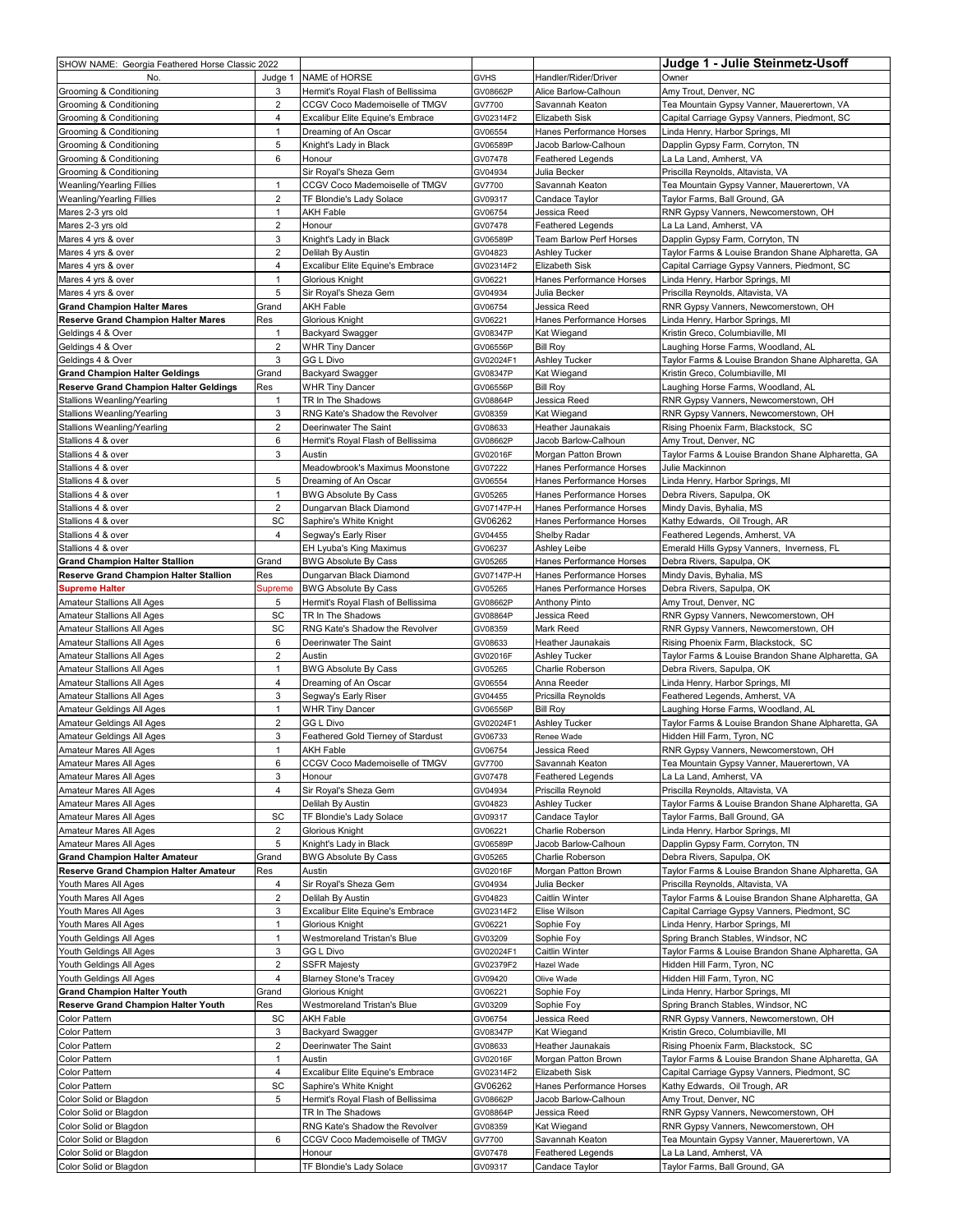| SHOW NAME: Georgia Feathered Horse Classic 2022 |                         |                                    |             |                          | Judge 1 - Julie Steinmetz-Usoff                    |
|-------------------------------------------------|-------------------------|------------------------------------|-------------|--------------------------|----------------------------------------------------|
| No.                                             | Judge 1                 | NAME of HORSE                      | <b>GVHS</b> | Handler/Rider/Driver     | Owner                                              |
| Grooming & Conditioning                         | 3                       | Hermit's Royal Flash of Bellissima | GV08662P    | Alice Barlow-Calhoun     | Amy Trout, Denver, NC                              |
| Grooming & Conditioning                         | $\overline{\mathbf{c}}$ | CCGV Coco Mademoiselle of TMGV     | GV7700      | Savannah Keaton          | Tea Mountain Gypsy Vanner, Mauerertown, VA         |
| Grooming & Conditioning                         | 4                       | Excalibur Elite Equine's Embrace   | GV02314F2   | Elizabeth Sisk           | Capital Carriage Gypsy Vanners, Piedmont, SC       |
| Grooming & Conditioning                         | $\mathbf{1}$            | Dreaming of An Oscar               | GV06554     | Hanes Performance Horses | Linda Henry, Harbor Springs, MI                    |
| Grooming & Conditioning                         | 5                       | Knight's Lady in Black             | GV06589P    | Jacob Barlow-Calhoun     | Dapplin Gypsy Farm, Corryton, TN                   |
| Grooming & Conditioning                         | 6                       | Honour                             | GV07478     | <b>Feathered Legends</b> | La La Land, Amherst, VA                            |
| Grooming & Conditioning                         |                         | Sir Royal's Sheza Gem              | GV04934     | Julia Becker             | Priscilla Reynolds, Altavista, VA                  |
| Weanling/Yearling Fillies                       | $\mathbf{1}$            | CCGV Coco Mademoiselle of TMGV     | GV7700      | Savannah Keaton          | Tea Mountain Gypsy Vanner, Mauerertown, VA         |
| Weanling/Yearling Fillies                       | $\overline{2}$          | TF Blondie's Lady Solace           | GV09317     | Candace Taylor           | Taylor Farms, Ball Ground, GA                      |
| Mares 2-3 yrs old                               | $\mathbf{1}$            | <b>AKH Fable</b>                   | GV06754     | Jessica Reed             | RNR Gypsy Vanners, Newcomerstown, OH               |
| Mares 2-3 yrs old                               | $\overline{2}$          | Honour                             | GV07478     | <b>Feathered Legends</b> | La La Land, Amherst, VA                            |
| Mares 4 yrs & over                              | 3                       | Knight's Lady in Black             | GV06589P    | Team Barlow Perf Horses  | Dapplin Gypsy Farm, Corryton, TN                   |
| Mares 4 yrs & over                              | $\overline{2}$          | Delilah By Austin                  | GV04823     | <b>Ashley Tucker</b>     | Taylor Farms & Louise Brandon Shane Alpharetta, GA |
| Mares 4 yrs & over                              | 4                       | Excalibur Elite Equine's Embrace   | GV02314F2   | Elizabeth Sisk           | Capital Carriage Gypsy Vanners, Piedmont, SC       |
| Mares 4 yrs & over                              | $\mathbf{1}$            | Glorious Knight                    | GV06221     | Hanes Performance Horses | Linda Henry, Harbor Springs, MI                    |
| Mares 4 yrs & over                              | 5                       | Sir Royal's Sheza Gem              | GV04934     | Julia Becker             | Priscilla Reynolds, Altavista, VA                  |
| <b>Grand Champion Halter Mares</b>              | Grand                   | <b>AKH Fable</b>                   | GV06754     | Jessica Reed             | RNR Gypsy Vanners, Newcomerstown, OH               |
| <b>Reserve Grand Champion Halter Mares</b>      | Res                     | Glorious Knight                    | GV06221     | Hanes Performance Horses | Linda Henry, Harbor Springs, MI                    |
| Geldings 4 & Over                               | $\mathbf{1}$            | Backyard Swagger                   | GV08347P    | Kat Wiegand              | Kristin Greco, Columbiaville, MI                   |
| Geldings 4 & Over                               | 2                       | <b>WHR Tiny Dancer</b>             | GV06556P    | <b>Bill Roy</b>          | Laughing Horse Farms, Woodland, AL                 |
| Geldings 4 & Over                               | 3                       | GG L Divo                          | GV02024F1   | Ashley Tucker            | Taylor Farms & Louise Brandon Shane Alpharetta, GA |
| <b>Grand Champion Halter Geldings</b>           | Grand                   | Backyard Swagger                   | GV08347P    | Kat Wiegand              | Kristin Greco, Columbiaville, MI                   |
| <b>Reserve Grand Champion Halter Geldings</b>   | Res                     | <b>WHR Tiny Dancer</b>             | GV06556P    | <b>Bill Roy</b>          | Laughing Horse Farms, Woodland, AL                 |
| Stallions Weanling/Yearling                     | 1                       | TR In The Shadows                  | GV08864P    | Jessica Reed             | RNR Gypsy Vanners, Newcomerstown, OH               |
| Stallions Weanling/Yearling                     | 3                       | RNG Kate's Shadow the Revolver     | GV08359     | Kat Wiegand              | RNR Gypsy Vanners, Newcomerstown, OH               |
| Stallions Weanling/Yearling                     | $\overline{2}$          | Deerinwater The Saint              | GV08633     | Heather Jaunakais        | Rising Phoenix Farm, Blackstock, SC                |
| Stallions 4 & over                              | 6                       | Hermit's Royal Flash of Bellissima | GV08662P    | Jacob Barlow-Calhoun     | Amy Trout, Denver, NC                              |
| Stallions 4 & over                              | 3                       | Austin                             | GV02016F    | Morgan Patton Brown      | Taylor Farms & Louise Brandon Shane Alpharetta, GA |
| Stallions 4 & over                              |                         | Meadowbrook's Maximus Moonstone    | GV07222     | Hanes Performance Horses | Julie Mackinnon                                    |
| Stallions 4 & over                              | 5                       | Dreaming of An Oscar               | GV06554     | Hanes Performance Horses | Linda Henry, Harbor Springs, MI                    |
| Stallions 4 & over                              | 1                       | <b>BWG Absolute By Cass</b>        | GV05265     | Hanes Performance Horses | Debra Rivers, Sapulpa, OK                          |
| Stallions 4 & over                              | $\overline{2}$          | Dungarvan Black Diamond            | GV07147P-H  | Hanes Performance Horses | Mindy Davis, Byhalia, MS                           |
| Stallions 4 & over                              | SC                      | Saphire's White Knight             | GV06262     | Hanes Performance Horses | Kathy Edwards, Oil Trough, AR                      |
| Stallions 4 & over                              | 4                       | Segway's Early Riser               | GV04455     | Shelby Radar             | Feathered Legends, Amherst, VA                     |
| Stallions 4 & over                              |                         | EH Lyuba's King Maximus            | GV06237     | Ashley Leibe             | Emerald Hills Gypsy Vanners, Inverness, FL         |
| <b>Grand Champion Halter Stallion</b>           | Grand                   | <b>BWG Absolute By Cass</b>        | GV05265     | Hanes Performance Horses | Debra Rivers, Sapulpa, OK                          |
| <b>Reserve Grand Champion Halter Stallion</b>   | Res                     | Dungarvan Black Diamond            | GV07147P-H  | Hanes Performance Horses | Mindy Davis, Byhalia, MS                           |
| <b>Supreme Halter</b>                           | Supreme                 | BWG Absolute By Cass               | GV05265     | Hanes Performance Horses | Debra Rivers, Sapulpa, OK                          |
| Amateur Stallions All Ages                      | 5                       | Hermit's Royal Flash of Bellissima | GV08662P    | <b>Anthony Pinto</b>     | Amy Trout, Denver, NC                              |
| Amateur Stallions All Ages                      | SC                      | TR In The Shadows                  | GV08864P    | Jessica Reed             | RNR Gypsy Vanners, Newcomerstown, OH               |
| Amateur Stallions All Ages                      | SC                      | RNG Kate's Shadow the Revolver     | GV08359     | Mark Reed                | RNR Gypsy Vanners, Newcomerstown, OH               |
| Amateur Stallions All Ages                      | 6                       | Deerinwater The Saint              | GV08633     | Heather Jaunakais        | Rising Phoenix Farm, Blackstock, SC                |
| Amateur Stallions All Ages                      | $\mathbf 2$             | Austin                             | GV02016F    | <b>Ashley Tucker</b>     | Taylor Farms & Louise Brandon Shane Alpharetta, GA |
| Amateur Stallions All Ages                      | $\mathbf{1}$            | <b>BWG Absolute By Cass</b>        | GV05265     | Charlie Roberson         | Debra Rivers, Sapulpa, OK                          |
| Amateur Stallions All Ages                      | 4                       | Dreaming of An Oscar               | GV06554     | Anna Reeder              | Linda Henry, Harbor Springs, MI                    |
| Amateur Stallions All Ages                      | 3                       | Segway's Early Riser               | GV04455     | Pricsilla Reynolds       | Feathered Legends, Amherst, VA                     |
| Amateur Geldings All Ages                       | 1                       | <b>WHR Tiny Dancer</b>             | GV06556P    | <b>Bill Roy</b>          | Laughing Horse Farms, Woodland, AL                 |
| Amateur Geldings All Ages                       | $\overline{2}$          | GG L Divo                          | GV02024F1   | Ashley Tucker            | Taylor Farms & Louise Brandon Shane Alpharetta, GA |
| Amateur Geldings All Ages                       | 3                       | Feathered Gold Tierney of Stardust | GV06733     | Renee Wade               | Hidden Hill Farm, Tyron, NC                        |
| Amateur Mares All Ages                          | $\mathbf{1}$            | <b>AKH Fable</b>                   | GV06754     | Jessica Reed             | RNR Gypsy Vanners, Newcomerstown, OH               |
| Amateur Mares All Ages                          | 6                       | CCGV Coco Mademoiselle of TMGV     | GV7700      | Savannah Keaton          | Tea Mountain Gypsy Vanner, Mauerertown, VA         |
| Amateur Mares All Ages                          | 3                       | Honour                             | GV07478     | <b>Feathered Legends</b> | La La Land, Amherst, VA                            |
| Amateur Mares All Ages                          | 4                       | Sir Royal's Sheza Gem              | GV04934     | Priscilla Reynold        | Priscilla Reynolds, Altavista, VA                  |
| Amateur Mares All Ages                          |                         | Delilah By Austin                  | GV04823     | Ashley Tucker            | Taylor Farms & Louise Brandon Shane Alpharetta, GA |
| Amateur Mares All Ages                          | SC                      | TF Blondie's Lady Solace           | GV09317     | Candace Taylor           | Taylor Farms, Ball Ground, GA                      |
| Amateur Mares All Ages                          | $\overline{\mathbf{c}}$ | Glorious Knight                    | GV06221     | Charlie Roberson         | Linda Henry, Harbor Springs, MI                    |
| Amateur Mares All Ages                          | 5                       | Knight's Lady in Black             | GV06589P    | Jacob Barlow-Calhoun     | Dapplin Gypsy Farm, Corryton, TN                   |
| <b>Grand Champion Halter Amateur</b>            | Grand                   | <b>BWG Absolute By Cass</b>        | GV05265     | Charlie Roberson         | Debra Rivers, Sapulpa, OK                          |
| <b>Reserve Grand Champion Halter Amateur</b>    | Res                     | Austin                             | GV02016F    | Morgan Patton Brown      | Taylor Farms & Louise Brandon Shane Alpharetta, GA |
| Youth Mares All Ages                            | 4                       | Sir Royal's Sheza Gem              | GV04934     | Julia Becker             | Priscilla Reynolds, Altavista, VA                  |
| Youth Mares All Ages                            | $\overline{\mathbf{c}}$ | Delilah By Austin                  | GV04823     | Caitlin Winter           | Taylor Farms & Louise Brandon Shane Alpharetta, GA |
| Youth Mares All Ages                            | 3                       | Excalibur Elite Equine's Embrace   | GV02314F2   | Elise Wilson             | Capital Carriage Gypsy Vanners, Piedmont, SC       |
| Youth Mares All Ages                            | 1                       | Glorious Knight                    | GV06221     | Sophie Foy               | Linda Henry, Harbor Springs, MI                    |
| Youth Geldings All Ages                         | 1                       | Westmoreland Tristan's Blue        | GV03209     | Sophie Foy               | Spring Branch Stables, Windsor, NC                 |
| Youth Geldings All Ages                         | 3                       | GG L Divo                          | GV02024F1   | Caitlin Winter           | Taylor Farms & Louise Brandon Shane Alpharetta, GA |
| Youth Geldings All Ages                         | 2                       | SSFR Majesty                       | GV02379F2   | Hazel Wade               | Hidden Hill Farm, Tyron, NC                        |
| Youth Geldings All Ages                         | 4                       | <b>Blarney Stone's Tracey</b>      | GV09420     | Olive Wade               | Hidden Hill Farm, Tyron, NC                        |
| <b>Grand Champion Halter Youth</b>              | Grand                   | Glorious Knight                    | GV06221     | Sophie Foy               | Linda Henry, Harbor Springs, MI                    |
| Reserve Grand Champion Halter Youth             | Res                     | Westmoreland Tristan's Blue        | GV03209     | Sophie Foy               | Spring Branch Stables, Windsor, NC                 |
| Color Pattern                                   | SC                      | AKH Fable                          | GV06754     | Jessica Reed             | RNR Gypsy Vanners, Newcomerstown, OH               |
| Color Pattern                                   | 3                       | Backyard Swagger                   | GV08347P    | Kat Wiegand              | Kristin Greco, Columbiaville, MI                   |
| Color Pattern                                   | $\overline{2}$          | Deerinwater The Saint              | GV08633     | Heather Jaunakais        | Rising Phoenix Farm, Blackstock, SC                |
| Color Pattern                                   | 1                       | Austin                             | GV02016F    | Morgan Patton Brown      | Taylor Farms & Louise Brandon Shane Alpharetta, GA |
| Color Pattern                                   | 4                       | Excalibur Elite Equine's Embrace   | GV02314F2   | Elizabeth Sisk           | Capital Carriage Gypsy Vanners, Piedmont, SC       |
| Color Pattern                                   | SC                      | Saphire's White Knight             | GV06262     | Hanes Performance Horses | Kathy Edwards, Oil Trough, AR                      |
| Color Solid or Blagdon                          | 5                       | Hermit's Royal Flash of Bellissima | GV08662P    | Jacob Barlow-Calhoun     | Amy Trout, Denver, NC                              |
| Color Solid or Blagdon                          |                         | TR In The Shadows                  | GV08864P    | Jessica Reed             | RNR Gypsy Vanners, Newcomerstown, OH               |
| Color Solid or Blagdon                          |                         | RNG Kate's Shadow the Revolver     | GV08359     | Kat Wiegand              | RNR Gypsy Vanners, Newcomerstown, OH               |
| Color Solid or Blagdon                          | 6                       | CCGV Coco Mademoiselle of TMGV     | GV7700      | Savannah Keaton          | Tea Mountain Gypsy Vanner, Mauerertown, VA         |
| Color Solid or Blagdon                          |                         | Honour                             | GV07478     | Feathered Legends        | La La Land, Amherst, VA                            |
| Color Solid or Blagdon                          |                         | TF Blondie's Lady Solace           | GV09317     | Candace Taylor           | Taylor Farms, Ball Ground, GA                      |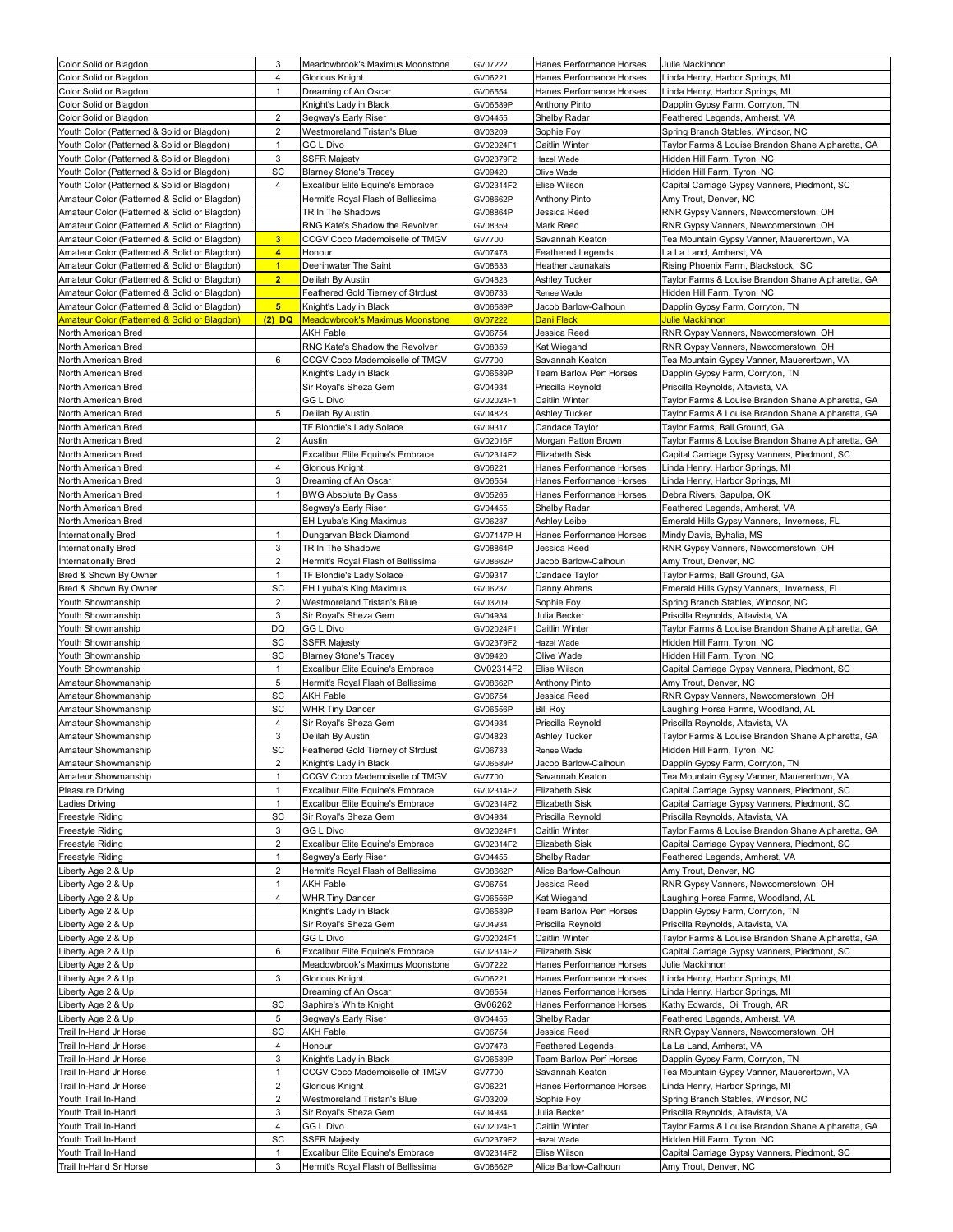| Color Solid or Blagdon                                                                       | 3                            | Meadowbrook's Maximus Moonstone                                    | GV07222    | Hanes Performance Horses          | Julie Mackinnon                                                                   |
|----------------------------------------------------------------------------------------------|------------------------------|--------------------------------------------------------------------|------------|-----------------------------------|-----------------------------------------------------------------------------------|
| Color Solid or Blagdon                                                                       | 4                            | Glorious Knight                                                    | GV06221    | Hanes Performance Horses          | Linda Henry, Harbor Springs, MI                                                   |
| Color Solid or Blagdon                                                                       | $\mathbf{1}$                 | Dreaming of An Oscar                                               | GV06554    | Hanes Performance Horses          | Linda Henry, Harbor Springs, MI                                                   |
| Color Solid or Blagdon                                                                       |                              | Knight's Lady in Black                                             | GV06589P   | <b>Anthony Pinto</b>              | Dapplin Gypsy Farm, Corryton, TN                                                  |
| Color Solid or Blagdon                                                                       | $\overline{2}$               | Segway's Early Riser                                               | GV04455    | Shelby Radar                      | Feathered Legends, Amherst, VA                                                    |
| Youth Color (Patterned & Solid or Blagdon)                                                   | $\overline{2}$               | Westmoreland Tristan's Blue                                        | GV03209    | Sophie Foy                        | Spring Branch Stables, Windsor, NC                                                |
| Youth Color (Patterned & Solid or Blagdon)                                                   | $\mathbf{1}$                 | GG L Divo                                                          | GV02024F1  | Caitlin Winter                    | Taylor Farms & Louise Brandon Shane Alpharetta, GA                                |
| Youth Color (Patterned & Solid or Blagdon)                                                   | 3                            | <b>SSFR Majesty</b>                                                | GV02379F2  | Hazel Wade                        | Hidden Hill Farm, Tyron, NC                                                       |
| Youth Color (Patterned & Solid or Blagdon)                                                   | SC                           | <b>Blarney Stone's Tracey</b>                                      | GV09420    | Olive Wade                        | Hidden Hill Farm, Tyron, NC                                                       |
| Youth Color (Patterned & Solid or Blagdon)                                                   | 4                            | Excalibur Elite Equine's Embrace                                   | GV02314F2  | Elise Wilson                      | Capital Carriage Gypsy Vanners, Piedmont, SC                                      |
| Amateur Color (Patterned & Solid or Blagdon)                                                 |                              | Hermit's Royal Flash of Bellissima                                 | GV08662P   | <b>Anthony Pinto</b>              | Amy Trout, Denver, NC                                                             |
| Amateur Color (Patterned & Solid or Blagdon)                                                 |                              | TR In The Shadows                                                  | GV08864P   | Jessica Reed                      | RNR Gypsy Vanners, Newcomerstown, OH                                              |
| Amateur Color (Patterned & Solid or Blagdon)                                                 |                              | RNG Kate's Shadow the Revolver                                     | GV08359    | Mark Reed                         | RNR Gypsy Vanners, Newcomerstown, OH                                              |
| Amateur Color (Patterned & Solid or Blagdon)                                                 | 3 <sup>7</sup>               | CCGV Coco Mademoiselle of TMGV                                     | GV7700     | Savannah Keaton                   | Tea Mountain Gypsy Vanner, Mauerertown, VA                                        |
| Amateur Color (Patterned & Solid or Blagdon)                                                 | $\overline{4}$               | Honour                                                             | GV07478    | Feathered Legends                 | La La Land, Amherst, VA                                                           |
| Amateur Color (Patterned & Solid or Blagdon)                                                 | $\blacksquare$               | Deerinwater The Saint                                              | GV08633    | Heather Jaunakais                 | Rising Phoenix Farm, Blackstock, SC                                               |
|                                                                                              | $\overline{2}$               | Delilah By Austin                                                  | GV04823    | Ashley Tucker                     |                                                                                   |
| Amateur Color (Patterned & Solid or Blagdon)<br>Amateur Color (Patterned & Solid or Blagdon) |                              | Feathered Gold Tierney of Strdust                                  | GV06733    | Renee Wade                        | Taylor Farms & Louise Brandon Shane Alpharetta, GA<br>Hidden Hill Farm, Tyron, NC |
|                                                                                              | 5 <sub>5</sub>               |                                                                    |            |                                   |                                                                                   |
| Amateur Color (Patterned & Solid or Blagdon)                                                 |                              | Knight's Lady in Black                                             | GV06589P   | Jacob Barlow-Calhoun              | Dapplin Gypsy Farm, Corryton, TN                                                  |
| <b>Amateur Color (Patterned &amp; Solid or Blagdon)</b>                                      | $(2)$ DQ                     | <b>Meadowbrook's Maximus Moonstone</b>                             | GV07222    | Dani Fleck                        | <mark>Julie Mackinnon</mark>                                                      |
| North American Bred                                                                          |                              | AKH Fable                                                          | GV06754    | Jessica Reed                      | RNR Gypsy Vanners, Newcomerstown, OH                                              |
| North American Bred                                                                          |                              | RNG Kate's Shadow the Revolver                                     | GV08359    | Kat Wiegand                       | RNR Gypsy Vanners, Newcomerstown, OH                                              |
| North American Bred                                                                          | 6                            | CCGV Coco Mademoiselle of TMGV                                     | GV7700     | Savannah Keaton                   | Tea Mountain Gypsy Vanner, Mauerertown, VA                                        |
| North American Bred                                                                          |                              | Knight's Lady in Black                                             | GV06589P   | Team Barlow Perf Horses           | Dapplin Gypsy Farm, Corryton, TN                                                  |
| North American Bred                                                                          |                              | Sir Royal's Sheza Gem                                              | GV04934    | Priscilla Reynold                 | Priscilla Reynolds, Altavista, VA                                                 |
| North American Bred                                                                          |                              | <b>GG L Divo</b>                                                   | GV02024F1  | Caitlin Winter                    | Taylor Farms & Louise Brandon Shane Alpharetta, GA                                |
| North American Bred                                                                          | 5                            | Delilah By Austin                                                  | GV04823    | Ashley Tucker                     | Taylor Farms & Louise Brandon Shane Alpharetta, GA                                |
| North American Bred                                                                          |                              | TF Blondie's Lady Solace                                           | GV09317    | Candace Taylor                    | Taylor Farms, Ball Ground, GA                                                     |
| North American Bred                                                                          | $\overline{2}$               | Austin                                                             | GV02016F   | Morgan Patton Brown               | Taylor Farms & Louise Brandon Shane Alpharetta, GA                                |
| North American Bred                                                                          |                              | Excalibur Elite Equine's Embrace                                   | GV02314F2  | Elizabeth Sisk                    | Capital Carriage Gypsy Vanners, Piedmont, SC                                      |
| North American Bred                                                                          | 4                            | Glorious Knight                                                    | GV06221    | Hanes Performance Horses          | Linda Henry, Harbor Springs, MI                                                   |
| North American Bred                                                                          | 3                            | Dreaming of An Oscar                                               | GV06554    | Hanes Performance Horses          | Linda Henry, Harbor Springs, MI                                                   |
| North American Bred                                                                          | 1                            | <b>BWG Absolute By Cass</b>                                        | GV05265    | Hanes Performance Horses          | Debra Rivers, Sapulpa, OK                                                         |
| North American Bred                                                                          |                              | Segway's Early Riser                                               | GV04455    | Shelby Radar                      | Feathered Legends, Amherst, VA                                                    |
| North American Bred                                                                          |                              | EH Lyuba's King Maximus                                            | GV06237    | Ashley Leibe                      | Emerald Hills Gypsy Vanners, Inverness, FL                                        |
| Internationally Bred                                                                         | 1                            | Dungarvan Black Diamond                                            | GV07147P-H | Hanes Performance Horses          | Mindy Davis, Byhalia, MS                                                          |
| Internationally Bred                                                                         | 3                            | TR In The Shadows                                                  | GV08864P   | Jessica Reed                      | RNR Gypsy Vanners, Newcomerstown, OH                                              |
| Internationally Bred                                                                         | $\overline{2}$               | Hermit's Royal Flash of Bellissima                                 | GV08662P   | Jacob Barlow-Calhoun              | Amy Trout, Denver, NC                                                             |
| Bred & Shown By Owner                                                                        | $\mathbf{1}$                 | TF Blondie's Lady Solace                                           | GV09317    | Candace Taylor                    | Taylor Farms, Ball Ground, GA                                                     |
| Bred & Shown By Owner                                                                        | SC                           | EH Lyuba's King Maximus                                            | GV06237    | Danny Ahrens                      | Emerald Hills Gypsy Vanners, Inverness, FL                                        |
| Youth Showmanship                                                                            | 2                            | Westmoreland Tristan's Blue                                        | GV03209    | Sophie Foy                        | Spring Branch Stables, Windsor, NC                                                |
| Youth Showmanship                                                                            | 3                            | Sir Royal's Sheza Gem                                              | GV04934    | Julia Becker                      | Priscilla Reynolds, Altavista, VA                                                 |
| Youth Showmanship                                                                            | DQ                           | GG L Divo                                                          | GV02024F1  | Caitlin Winter                    | Taylor Farms & Louise Brandon Shane Alpharetta, GA                                |
| Youth Showmanship                                                                            | SC                           | <b>SSFR Majesty</b>                                                | GV02379F2  | Hazel Wade                        | Hidden Hill Farm, Tyron, NC                                                       |
| Youth Showmanship                                                                            | SC                           | <b>Blarney Stone's Tracey</b>                                      | GV09420    | Olive Wade                        | Hidden Hill Farm, Tyron, NC                                                       |
| Youth Showmanship                                                                            | $\mathbf{1}$                 | Excalibur Elite Equine's Embrace                                   | GV02314F2  | Elise Wilson                      | Capital Carriage Gypsy Vanners, Piedmont, SC                                      |
| Amateur Showmanship                                                                          | 5                            | Hermit's Royal Flash of Bellissima                                 | GV08662P   | <b>Anthony Pinto</b>              | Amy Trout, Denver, NC                                                             |
| Amateur Showmanship                                                                          | SC                           | AKH Fable                                                          | GV06754    | Jessica Reed                      | RNR Gypsy Vanners, Newcomerstown, OH                                              |
| Amateur Showmanship                                                                          | SC                           | WHR Tiny Dancer                                                    | GV06556P   | <b>Bill Roy</b>                   | Laughing Horse Farms, Woodland, AL                                                |
| Amateur Showmanship                                                                          | 4                            | Sir Royal's Sheza Gem                                              | GV04934    | Priscilla Reynold                 | Priscilla Reynolds, Altavista, VA                                                 |
| Amateur Showmanship                                                                          | 3                            | Delilah By Austin                                                  | GV04823    | Ashley Tucker                     | Taylor Farms & Louise Brandon Shane Alpharetta, GA                                |
| Amateur Showmanship                                                                          | SC                           | Feathered Gold Tierney of Strdust                                  | GV06733    | Renee Wade                        | Hidden Hill Farm, Tyron, NC                                                       |
| Amateur Showmanship                                                                          | 2                            | Knight's Lady in Black                                             | GV06589P   | Jacob Barlow-Calhoun              | Dapplin Gypsy Farm, Corryton, TN                                                  |
|                                                                                              | $\mathbf{1}$                 |                                                                    |            |                                   | Tea Mountain Gypsy Vanner, Mauerertown, VA                                        |
| Amateur Showmanship                                                                          | $\mathbf{1}$                 | CCGV Coco Mademoiselle of TMGV<br>Excalibur Elite Equine's Embrace | GV7700     | Savannah Keaton<br>Elizabeth Sisk |                                                                                   |
| Pleasure Driving                                                                             | $\mathbf{1}$                 |                                                                    | GV02314F2  |                                   | Capital Carriage Gypsy Vanners, Piedmont, SC                                      |
| Ladies Driving                                                                               |                              | Excalibur Elite Equine's Embrace                                   | GV02314F2  | Elizabeth Sisk                    | Capital Carriage Gypsy Vanners, Piedmont, SC                                      |
| Freestyle Riding                                                                             | SC                           | Sir Royal's Sheza Gem                                              | GV04934    | Priscilla Reynold                 | Priscilla Reynolds, Altavista, VA                                                 |
| Freestyle Riding                                                                             | 3<br>$\overline{\mathbf{c}}$ | GG L Divo                                                          | GV02024F1  | Caitlin Winter                    | Taylor Farms & Louise Brandon Shane Alpharetta, GA                                |
| Freestyle Riding                                                                             |                              | Excalibur Elite Equine's Embrace                                   | GV02314F2  | Elizabeth Sisk                    | Capital Carriage Gypsy Vanners, Piedmont, SC                                      |
| Freestyle Riding                                                                             | $\mathbf{1}$                 | Segway's Early Riser                                               | GV04455    | Shelby Radar                      | Feathered Legends, Amherst, VA                                                    |
| Liberty Age 2 & Up                                                                           | $\mathbf 2$                  | Hermit's Royal Flash of Bellissima                                 | GV08662P   | Alice Barlow-Calhoun              | Amy Trout, Denver, NC                                                             |
| Liberty Age 2 & Up                                                                           | $\mathbf{1}$                 | AKH Fable                                                          | GV06754    | Jessica Reed                      | RNR Gypsy Vanners, Newcomerstown, OH                                              |
| Liberty Age 2 & Up                                                                           | 4                            | <b>WHR Tiny Dancer</b>                                             | GV06556P   | Kat Wiegand                       | Laughing Horse Farms, Woodland, AL                                                |
| Liberty Age 2 & Up                                                                           |                              | Knight's Lady in Black                                             | GV06589P   | Feam Barlow Perf Horses           | Dapplin Gypsy Farm, Corryton, TN                                                  |
| Liberty Age 2 & Up                                                                           |                              | Sir Royal's Sheza Gem                                              | GV04934    | Priscilla Reynold                 | Priscilla Reynolds, Altavista, VA                                                 |
| Liberty Age 2 & Up                                                                           |                              | GG L Divo                                                          | GV02024F1  | Caitlin Winter                    | Taylor Farms & Louise Brandon Shane Alpharetta, GA                                |
| Liberty Age 2 & Up                                                                           | 6                            | Excalibur Elite Equine's Embrace                                   | GV02314F2  | Elizabeth Sisk                    | Capital Carriage Gypsy Vanners, Piedmont, SC                                      |
| Liberty Age 2 & Up                                                                           |                              | Meadowbrook's Maximus Moonstone                                    | GV07222    | Hanes Performance Horses          | Julie Mackinnon                                                                   |
| Liberty Age 2 & Up                                                                           | 3                            | Glorious Knight                                                    | GV06221    | Hanes Performance Horses          | Linda Henry, Harbor Springs, MI                                                   |
| Liberty Age 2 & Up                                                                           |                              | Dreaming of An Oscar                                               | GV06554    | Hanes Performance Horses          | Linda Henry, Harbor Springs, MI                                                   |
| Liberty Age 2 & Up                                                                           | SC                           | Saphire's White Knight                                             | GV06262    | Hanes Performance Horses          | Kathy Edwards, Oil Trough, AR                                                     |
| Liberty Age 2 & Up                                                                           | 5                            | Segway's Early Riser                                               | GV04455    | Shelby Radar                      | Feathered Legends, Amherst, VA                                                    |
| Trail In-Hand Jr Horse                                                                       | SC                           | AKH Fable                                                          | GV06754    | Jessica Reed                      | RNR Gypsy Vanners, Newcomerstown, OH                                              |
| Trail In-Hand Jr Horse                                                                       | 4                            | Honour                                                             | GV07478    | Feathered Legends                 | La La Land, Amherst, VA                                                           |
| Trail In-Hand Jr Horse                                                                       | 3                            | Knight's Lady in Black                                             | GV06589P   | Team Barlow Perf Horses           | Dapplin Gypsy Farm, Corryton, TN                                                  |
| Trail In-Hand Jr Horse                                                                       | $\mathbf{1}$                 | CCGV Coco Mademoiselle of TMGV                                     | GV7700     | Savannah Keaton                   | Tea Mountain Gypsy Vanner, Mauerertown, VA                                        |
| Trail In-Hand Jr Horse                                                                       | $\mathbf 2$                  | Glorious Knight                                                    | GV06221    | Hanes Performance Horses          | Linda Henry, Harbor Springs, MI                                                   |
| Youth Trail In-Hand                                                                          | 2                            | Westmoreland Tristan's Blue                                        | GV03209    | Sophie Foy                        | Spring Branch Stables, Windsor, NC                                                |
| Youth Trail In-Hand                                                                          | 3                            | Sir Royal's Sheza Gem                                              | GV04934    | Julia Becker                      | Priscilla Reynolds, Altavista, VA                                                 |
| Youth Trail In-Hand                                                                          | 4                            | GG L Divo                                                          | GV02024F1  | Caitlin Winter                    | Taylor Farms & Louise Brandon Shane Alpharetta, GA                                |
| Youth Trail In-Hand                                                                          | SC                           | <b>SSFR Majesty</b>                                                | GV02379F2  | Hazel Wade                        | Hidden Hill Farm, Tyron, NC                                                       |
| Youth Trail In-Hand                                                                          | $\mathbf{1}$                 | Excalibur Elite Equine's Embrace                                   | GV02314F2  | Elise Wilson                      | Capital Carriage Gypsy Vanners, Piedmont, SC                                      |
| Trail In-Hand Sr Horse                                                                       | 3                            | Hermit's Royal Flash of Bellissima                                 | GV08662P   | Alice Barlow-Calhoun              | Amy Trout, Denver, NC                                                             |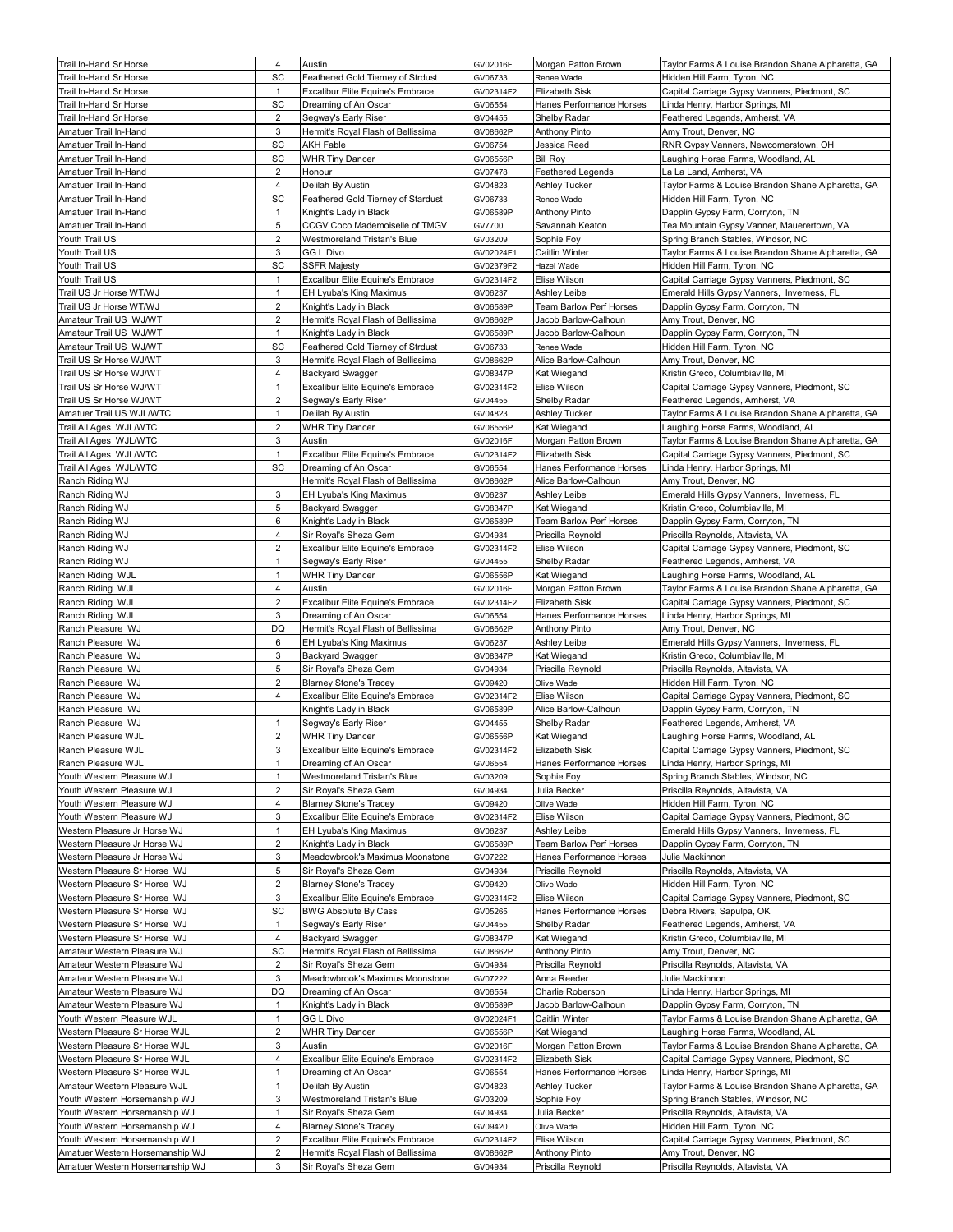| Trail In-Hand Sr Horse                                             | 4                   | Austin                                                      | GV02016F            | Morgan Patton Brown                | Taylor Farms & Louise Brandon Shane Alpharetta, GA         |
|--------------------------------------------------------------------|---------------------|-------------------------------------------------------------|---------------------|------------------------------------|------------------------------------------------------------|
| Trail In-Hand Sr Horse                                             | SC                  | Feathered Gold Tierney of Strdust                           | GV06733             | Renee Wade                         | Hidden Hill Farm, Tvron, NC                                |
| Trail In-Hand Sr Horse                                             | $\mathbf{1}$        | Excalibur Elite Equine's Embrace                            | GV02314F2           | Elizabeth Sisk                     | Capital Carriage Gypsy Vanners, Piedmont, SC               |
| Trail In-Hand Sr Horse                                             | SC                  | Dreaming of An Oscar                                        | GV06554             | Hanes Performance Horses           | Linda Henry, Harbor Springs, MI                            |
| Trail In-Hand Sr Horse                                             | 2                   | Segway's Early Riser                                        | GV04455             | Shelby Radar                       | Feathered Legends, Amherst, VA                             |
| Amatuer Trail In-Hand                                              | 3                   | Hermit's Royal Flash of Bellissima                          | GV08662P            | Anthony Pinto                      | Amy Trout, Denver, NC                                      |
| Amatuer Trail In-Hand                                              | SC                  | AKH Fable                                                   | GV06754             | Jessica Reed                       | RNR Gypsy Vanners, Newcomerstown, OH                       |
| Amatuer Trail In-Hand                                              | SC                  | <b>WHR Tiny Dancer</b>                                      | GV06556P            | <b>Bill Roy</b>                    | Laughing Horse Farms, Woodland, AL                         |
| Amatuer Trail In-Hand                                              | $\overline{2}$      | Honour                                                      | GV07478             | <b>Feathered Legends</b>           | La La Land, Amherst, VA                                    |
|                                                                    | $\overline{4}$      |                                                             |                     |                                    |                                                            |
| Amatuer Trail In-Hand                                              |                     | Delilah By Austin                                           | GV04823             | Ashley Tucker                      | Taylor Farms & Louise Brandon Shane Alpharetta, GA         |
| Amatuer Trail In-Hand                                              | SC                  | Feathered Gold Tierney of Stardust                          | GV06733             | Renee Wade                         | Hidden Hill Farm, Tyron, NC                                |
| Amatuer Trail In-Hand                                              | $\mathbf{1}$        | Knight's Lady in Black                                      | GV06589P            | Anthony Pinto                      | Dapplin Gypsy Farm, Corryton, TN                           |
| Amatuer Trail In-Hand                                              | 5                   | CCGV Coco Mademoiselle of TMGV                              | GV7700              | Savannah Keaton                    | Tea Mountain Gypsy Vanner, Mauerertown, VA                 |
| Youth Trail US                                                     | $\overline{2}$      | Westmoreland Tristan's Blue                                 | GV03209             | Sophie Foy                         | Spring Branch Stables, Windsor, NC                         |
| Youth Trail US                                                     | 3                   | GG L Divo                                                   | GV02024F1           | Caitlin Winter                     | Taylor Farms & Louise Brandon Shane Alpharetta, GA         |
| Youth Trail US                                                     | SC                  | <b>SSFR Majesty</b>                                         | GV02379F2           | Hazel Wade                         | Hidden Hill Farm, Tyron, NC                                |
| Youth Trail US                                                     | $\mathbf{1}$        | Excalibur Elite Equine's Embrace                            | GV02314F2           | Elise Wilson                       | Capital Carriage Gypsy Vanners, Piedmont, SC               |
| Trail US Jr Horse WT/WJ                                            | $\mathbf{1}$        | EH Lyuba's King Maximus                                     | GV06237             | Ashley Leibe                       | Emerald Hills Gypsy Vanners, Inverness, FL                 |
| Trail US Jr Horse WT/WJ                                            | $\overline{2}$      | Knight's Lady in Black                                      | GV06589P            | Team Barlow Perf Horses            | Dapplin Gypsy Farm, Corryton, TN                           |
| Amateur Trail US WJ/WT                                             | 2                   | Hermit's Royal Flash of Bellissima                          | GV08662P            | Jacob Barlow-Calhoun               | Amy Trout, Denver, NC                                      |
| Amateur Trail US WJ/WT                                             | $\mathbf{1}$        | Knight's Lady in Black                                      | GV06589P            | Jacob Barlow-Calhoun               | Dapplin Gypsy Farm, Corryton, TN                           |
| Amateur Trail US WJ/WT                                             | SC                  | Feathered Gold Tierney of Strdust                           | GV06733             | Renee Wade                         | Hidden Hill Farm, Tyron, NC                                |
| Trail US Sr Horse WJ/WT                                            | 3                   | Hermit's Royal Flash of Bellissima                          | GV08662P            | Alice Barlow-Calhoun               | Amy Trout, Denver, NC                                      |
| Trail US Sr Horse WJ/WT                                            | 4                   | <b>Backyard Swagger</b>                                     | GV08347P            | Kat Wiegand                        | Kristin Greco, Columbiaville, MI                           |
| Trail US Sr Horse WJ/WT                                            | $\mathbf{1}$        | Excalibur Elite Equine's Embrace                            | GV02314F2           | Elise Wilson                       | Capital Carriage Gypsy Vanners, Piedmont, SC               |
| Trail US Sr Horse WJ/WT                                            | 2                   | Segway's Early Riser                                        | GV04455             | Shelby Radar                       | Feathered Legends, Amherst, VA                             |
| Amatuer Trail US WJL/WTC                                           | $\mathbf{1}$        | Delilah By Austin                                           | GV04823             | Ashley Tucker                      | Taylor Farms & Louise Brandon Shane Alpharetta, GA         |
| Trail All Ages WJL/WTC                                             | $\overline{2}$      | <b>WHR Tiny Dancer</b>                                      | GV06556P            | Kat Wiegand                        | Laughing Horse Farms, Woodland, AL                         |
| Trail All Ages WJL/WTC                                             | 3                   | Austin                                                      | GV02016F            | Morgan Patton Brown                | Taylor Farms & Louise Brandon Shane Alpharetta, GA         |
| Trail All Ages WJL/WTC                                             | $\mathbf{1}$        | Excalibur Elite Equine's Embrace                            | GV02314F2           | Elizabeth Sisk                     | Capital Carriage Gypsy Vanners, Piedmont, SC               |
| Trail All Ages WJL/WTC                                             | SC                  | Dreaming of An Oscar                                        | GV06554             | Hanes Performance Horses           | Linda Henry, Harbor Springs, MI                            |
| Ranch Riding WJ                                                    |                     | Hermit's Royal Flash of Bellissima                          | GV08662P            | Alice Barlow-Calhoun               | Amy Trout, Denver, NC                                      |
| Ranch Riding WJ                                                    | 3                   | EH Lyuba's King Maximus                                     | GV06237             | Ashley Leibe                       | Emerald Hills Gypsy Vanners, Inverness, FL                 |
| Ranch Riding WJ                                                    | 5                   | <b>Backyard Swagger</b>                                     | GV08347P            | Kat Wiegand                        | Kristin Greco, Columbiaville, MI                           |
| Ranch Riding WJ                                                    | 6                   | Knight's Lady in Black                                      | GV06589P            | Team Barlow Perf Horses            | Dapplin Gypsy Farm, Corryton, TN                           |
| Ranch Riding WJ                                                    | 4                   | Sir Royal's Sheza Gem                                       | GV04934             | Priscilla Reynold                  | Priscilla Reynolds, Altavista, VA                          |
| Ranch Riding WJ                                                    | $\overline{2}$      | Excalibur Elite Equine's Embrace                            | GV02314F2           | Elise Wilson                       | Capital Carriage Gypsy Vanners, Piedmont, SC               |
| Ranch Riding WJ                                                    | $\mathbf{1}$        | Segway's Early Riser                                        | GV04455             | Shelby Radar                       | Feathered Legends, Amherst, VA                             |
| Ranch Riding WJL                                                   | $\mathbf{1}$        | <b>WHR Tiny Dancer</b>                                      | GV06556P            | Kat Wiegand                        | Laughing Horse Farms, Woodland, AL                         |
| Ranch Riding WJL                                                   | 4                   | Austin                                                      | GV02016F            | Morgan Patton Brown                | Taylor Farms & Louise Brandon Shane Alpharetta, GA         |
| Ranch Riding WJL                                                   | $\overline{2}$      | <b>Excalibur Elite Equine's Embrace</b>                     | GV02314F2           | Elizabeth Sisk                     | Capital Carriage Gypsy Vanners, Piedmont, SC               |
| Ranch Riding WJL                                                   | 3                   | Dreaming of An Oscar                                        | GV06554             | Hanes Performance Horses           | Linda Henry, Harbor Springs, MI                            |
| Ranch Pleasure WJ                                                  | DQ                  | Hermit's Royal Flash of Bellissima                          | GV08662P            | <b>Anthony Pinto</b>               | Amy Trout, Denver, NC                                      |
| Ranch Pleasure WJ                                                  | 6                   | EH Lyuba's King Maximus                                     | GV06237             | Ashley Leibe                       | Emerald Hills Gypsy Vanners, Inverness, FL                 |
| Ranch Pleasure WJ                                                  | 3                   | <b>Backyard Swagger</b>                                     | GV08347P            | Kat Wiegand                        | Kristin Greco, Columbiaville, MI                           |
| Ranch Pleasure WJ                                                  | 5                   | Sir Royal's Sheza Gem                                       | GV04934             | Priscilla Reynold                  | Priscilla Reynolds, Altavista, VA                          |
| Ranch Pleasure WJ                                                  | 2                   | <b>Blarney Stone's Tracey</b>                               | GV09420             | Olive Wade                         | Hidden Hill Farm, Tyron, NC                                |
| Ranch Pleasure WJ                                                  | 4                   | Excalibur Elite Equine's Embrace                            | GV02314F2           | Elise Wilson                       | Capital Carriage Gypsy Vanners, Piedmont, SC               |
| Ranch Pleasure WJ                                                  |                     | Knight's Lady in Black                                      | GV06589P            | Alice Barlow-Calhoun               | Dapplin Gypsy Farm, Corryton, TN                           |
| Ranch Pleasure WJ                                                  | $\mathbf{1}$        | Segway's Early Riser                                        | GV04455             | Shelby Radar                       | Feathered Legends, Amherst, VA                             |
| Ranch Pleasure WJL                                                 | 2                   | <b>WHR Tiny Dancer</b>                                      | GV06556P            | Kat Wiegand                        | Laughing Horse Farms, Woodland, AL                         |
| Ranch Pleasure WJL                                                 | 3                   | Excalibur Elite Equine's Embrace                            | GV02314F2           | Elizabeth Sisk                     | Capital Carriage Gypsy Vanners, Piedmont, SC               |
| Ranch Pleasure WJL                                                 | $\mathbf{1}$        | Dreaming of An Oscar                                        | GV06554             | Hanes Performance Horses           | Linda Henry, Harbor Springs, MI                            |
| Youth Western Pleasure WJ                                          | $\mathbf{1}$        | Westmoreland Tristan's Blue                                 | GV03209             | Sophie Foy                         | Spring Branch Stables, Windsor, NC                         |
|                                                                    |                     |                                                             |                     | Julia Becker                       |                                                            |
| Youth Western Pleasure WJ                                          | 2<br>4              | Sir Royal's Sheza Gem                                       | GV04934             |                                    | Priscilla Reynolds, Altavista, VA                          |
| Youth Western Pleasure WJ                                          |                     | <b>Blarney Stone's Tracey</b>                               | GV09420             | Olive Wade                         | Hidden Hill Farm, Tyron, NC                                |
| Youth Western Pleasure WJ                                          | 3                   | Excalibur Elite Equine's Embrace                            | GV02314F2           | Elise Wilson                       | Capital Carriage Gypsy Vanners, Piedmont, SC               |
| Western Pleasure Jr Horse WJ                                       | 1                   | EH Lyuba's King Maximus                                     | GV06237             | Ashley Leibe                       | Emerald Hills Gypsy Vanners, Inverness, FL                 |
| Western Pleasure Jr Horse WJ                                       | $\overline{2}$      | Knight's Lady in Black                                      | GV06589P            | Team Barlow Perf Horses            | Dapplin Gypsy Farm, Corryton, TN                           |
| Western Pleasure Jr Horse WJ                                       | 3                   | Meadowbrook's Maximus Moonstone                             | GV07222             | Hanes Performance Horses           | Julie Mackinnon                                            |
| Western Pleasure Sr Horse WJ                                       | 5                   | Sir Royal's Sheza Gem                                       | GV04934             | Priscilla Reynold                  | Priscilla Reynolds, Altavista, VA                          |
| Western Pleasure Sr Horse WJ                                       | 2                   | <b>Blarney Stone's Tracey</b>                               | GV09420             | Olive Wade                         | Hidden Hill Farm, Tyron, NC                                |
| Western Pleasure Sr Horse WJ                                       | 3                   | Excalibur Elite Equine's Embrace                            | GV02314F2           | Elise Wilson                       | Capital Carriage Gypsy Vanners, Piedmont, SC               |
| Western Pleasure Sr Horse WJ                                       | SC                  | <b>BWG Absolute By Cass</b>                                 | GV05265             | Hanes Performance Horses           | Debra Rivers, Sapulpa, OK                                  |
| Western Pleasure Sr Horse WJ                                       | $\mathbf{1}$        | Segway's Early Riser                                        | GV04455             | Shelby Radar                       | Feathered Legends, Amherst, VA                             |
| Western Pleasure Sr Horse WJ                                       | $\overline{4}$      | <b>Backyard Swagger</b>                                     | GV08347P            | Kat Wiegand                        | Kristin Greco, Columbiaville, MI                           |
| Amateur Western Pleasure WJ                                        | SC                  | Hermit's Royal Flash of Bellissima                          | GV08662P            | Anthony Pinto                      | Amy Trout, Denver, NC                                      |
| Amateur Western Pleasure WJ                                        | 2                   | Sir Royal's Sheza Gem                                       | GV04934             | Priscilla Reynold                  | Priscilla Reynolds, Altavista, VA                          |
| Amateur Western Pleasure WJ                                        | 3                   | Meadowbrook's Maximus Moonstone                             | GV07222             | Anna Reeder                        | Julie Mackinnon                                            |
| Amateur Western Pleasure WJ                                        | DQ                  | Dreaming of An Oscar                                        | GV06554             | Charlie Roberson                   | Linda Henry, Harbor Springs, MI                            |
| Amateur Western Pleasure WJ                                        | $\mathbf{1}$        | Knight's Lady in Black                                      | GV06589P            | Jacob Barlow-Calhoun               | Dapplin Gypsy Farm, Corryton, TN                           |
| Youth Western Pleasure WJL                                         | $\mathbf{1}$        | GG L Divo                                                   | GV02024F1           | Caitlin Winter                     | Taylor Farms & Louise Brandon Shane Alpharetta, GA         |
| Western Pleasure Sr Horse WJL                                      | $\overline{2}$      | <b>WHR Tiny Dancer</b>                                      | GV06556P            | Kat Wiegand                        | Laughing Horse Farms, Woodland, AL                         |
| Western Pleasure Sr Horse WJL                                      | 3                   | Austin                                                      | GV02016F            | Morgan Patton Brown                | Taylor Farms & Louise Brandon Shane Alpharetta, GA         |
| Western Pleasure Sr Horse WJL                                      |                     |                                                             | GV02314F2           | Elizabeth Sisk                     | Capital Carriage Gypsy Vanners, Piedmont, SC               |
| Western Pleasure Sr Horse WJL                                      | 4                   | Excalibur Elite Equine's Embrace                            |                     |                                    |                                                            |
|                                                                    | 1                   | Dreaming of An Oscar                                        | GV06554             | Hanes Performance Horses           | Linda Henry, Harbor Springs, MI                            |
| Amateur Western Pleasure WJL                                       | $\mathbf{1}$        | Delilah By Austin                                           | GV04823             | Ashley Tucker                      | Taylor Farms & Louise Brandon Shane Alpharetta, GA         |
| Youth Western Horsemanship WJ                                      | 3                   | Westmoreland Tristan's Blue                                 | GV03209             | Sophie Foy                         | Spring Branch Stables, Windsor, NC                         |
| Youth Western Horsemanship WJ                                      | $\mathbf{1}$        | Sir Royal's Sheza Gem                                       | GV04934             | Julia Becker                       | Priscilla Reynolds, Altavista, VA                          |
| Youth Western Horsemanship WJ                                      | 4                   | <b>Blarney Stone's Tracey</b>                               | GV09420             | Olive Wade                         | Hidden Hill Farm, Tyron, NC                                |
| Youth Western Horsemanship WJ                                      | 2                   | Excalibur Elite Equine's Embrace                            | GV02314F2           | Elise Wilson                       | Capital Carriage Gypsy Vanners, Piedmont, SC               |
| Amatuer Western Horsemanship WJ<br>Amatuer Western Horsemanship WJ | $\overline{2}$<br>3 | Hermit's Royal Flash of Bellissima<br>Sir Royal's Sheza Gem | GV08662P<br>GV04934 | Anthony Pinto<br>Priscilla Reynold | Amy Trout, Denver, NC<br>Priscilla Reynolds, Altavista, VA |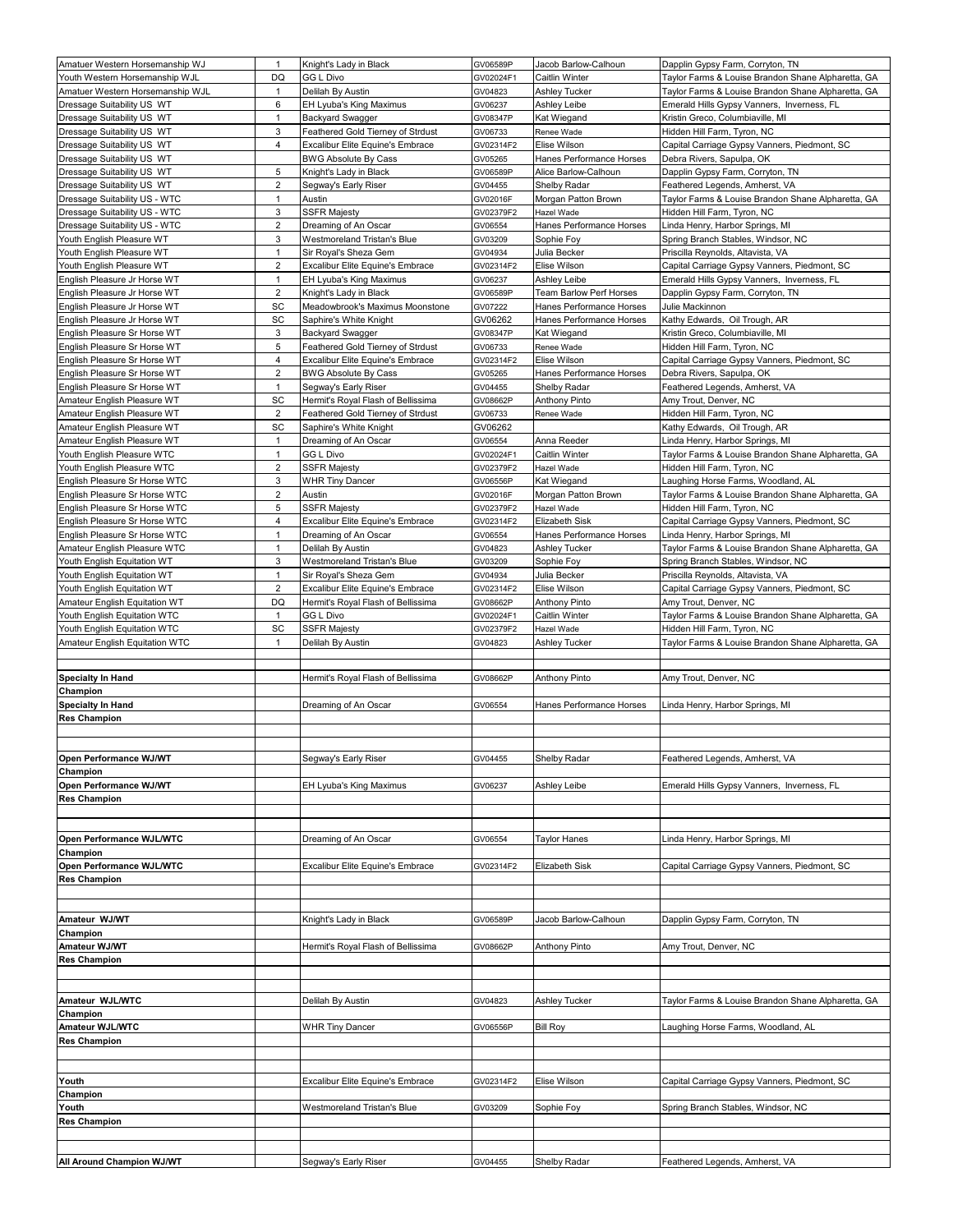| Amatuer Western Horsemanship WJ                              | $\mathbf{1}$        | Knight's Lady in Black                                          | GV06589P             | Jacob Barlow-Calhoun       | Dapplin Gypsy Farm, Corryton, TN                                          |
|--------------------------------------------------------------|---------------------|-----------------------------------------------------------------|----------------------|----------------------------|---------------------------------------------------------------------------|
| Youth Western Horsemanship WJL                               | DQ                  | <b>GG L Divo</b>                                                | GV02024F1            | Caitlin Winter             | Taylor Farms & Louise Brandon Shane Alpharetta, GA                        |
| Amatuer Western Horsemanship WJL                             | $\mathbf{1}$        | Delilah By Austin                                               | GV04823              | <b>Ashley Tucker</b>       | Taylor Farms & Louise Brandon Shane Alpharetta, GA                        |
| Dressage Suitability US WT                                   | 6                   | EH Lyuba's King Maximus                                         | GV06237              | Ashley Leibe               | Emerald Hills Gypsy Vanners, Inverness, FL                                |
| Dressage Suitability US WT                                   | $\mathbf{1}$        | <b>Backyard Swagger</b>                                         | GV08347P             | Kat Wiegand                | Kristin Greco, Columbiaville, MI                                          |
| Dressage Suitability US WT                                   | 3                   | Feathered Gold Tierney of Strdust                               | GV06733              | Renee Wade                 | Hidden Hill Farm, Tyron, NC                                               |
| Dressage Suitability US WT                                   | 4                   | Excalibur Elite Equine's Embrace                                | GV02314F2            | Elise Wilson               | Capital Carriage Gypsy Vanners, Piedmont, SC                              |
| Dressage Suitability US WT                                   |                     | <b>BWG Absolute By Cass</b>                                     | GV05265              | Hanes Performance Horses   | Debra Rivers, Sapulpa, OK                                                 |
| Dressage Suitability US WT                                   | 5                   | Knight's Lady in Black                                          | GV06589P             | Alice Barlow-Calhoun       | Dapplin Gypsy Farm, Corryton, TN                                          |
| Dressage Suitability US WT                                   | $\sqrt{2}$          | Segway's Early Riser                                            | GV04455              | Shelby Radar               | Feathered Legends, Amherst, VA                                            |
| Dressage Suitability US - WTC                                | $\mathbf{1}$        | Austin                                                          | GV02016F             | Morgan Patton Brown        | Taylor Farms & Louise Brandon Shane Alpharetta, GA                        |
| Dressage Suitability US - WTC                                | 3                   | <b>SSFR Majesty</b>                                             | GV02379F2            | Hazel Wade                 | Hidden Hill Farm, Tyron, NC                                               |
| Dressage Suitability US - WTC                                | $\overline{2}$      | Dreaming of An Oscar                                            | GV06554              | Hanes Performance Horses   | Linda Henry, Harbor Springs, MI                                           |
| Youth English Pleasure WT                                    | 3                   | Westmoreland Tristan's Blue                                     | GV03209              | Sophie Foy                 | Spring Branch Stables, Windsor, NC                                        |
| Youth English Pleasure WT                                    | 1                   | Sir Royal's Sheza Gem                                           | GV04934              | Julia Becker               | Priscilla Reynolds, Altavista, VA                                         |
| Youth English Pleasure WT                                    | 2                   | Excalibur Elite Equine's Embrace                                | GV02314F2            | Elise Wilson               | Capital Carriage Gypsy Vanners, Piedmont, SC                              |
| English Pleasure Jr Horse WT                                 | $\mathbf{1}$        | EH Lyuba's King Maximus                                         | GV06237              | Ashley Leibe               | Emerald Hills Gypsy Vanners, Inverness, FL                                |
| English Pleasure Jr Horse WT                                 | $\overline{2}$      | Knight's Lady in Black                                          | GV06589P             | Team Barlow Perf Horses    | Dapplin Gypsy Farm, Corryton, TN                                          |
| English Pleasure Jr Horse WT                                 | SC                  | Meadowbrook's Maximus Moonstone                                 | GV07222              | Hanes Performance Horses   | Julie Mackinnon                                                           |
| English Pleasure Jr Horse WT                                 | SC                  | Saphire's White Knight                                          | GV06262              | Hanes Performance Horses   | Kathy Edwards, Oil Trough, AR                                             |
| English Pleasure Sr Horse WT                                 | 3                   | <b>Backyard Swagger</b>                                         | GV08347P             | Kat Wiegand                | Kristin Greco, Columbiaville, MI                                          |
| English Pleasure Sr Horse WT                                 | 5<br>$\overline{4}$ | Feathered Gold Tierney of Strdust                               | GV06733              | Renee Wade<br>Elise Wilson | Hidden Hill Farm, Tyron, NC                                               |
| English Pleasure Sr Horse WT<br>English Pleasure Sr Horse WT | $\sqrt{2}$          | Excalibur Elite Equine's Embrace<br><b>BWG Absolute By Cass</b> | GV02314F2<br>GV05265 | Hanes Performance Horses   | Capital Carriage Gypsy Vanners, Piedmont, SC<br>Debra Rivers, Sapulpa, OK |
| English Pleasure Sr Horse WT                                 | $\mathbf{1}$        | Segway's Early Riser                                            | GV04455              | Shelby Radar               | Feathered Legends, Amherst, VA                                            |
| Amateur English Pleasure WT                                  | SC                  | Hermit's Royal Flash of Bellissima                              | GV08662P             | <b>Anthony Pinto</b>       | Amy Trout, Denver, NC                                                     |
| Amateur English Pleasure WT                                  | $\overline{2}$      | Feathered Gold Tierney of Strdust                               |                      | Renee Wade                 | Hidden Hill Farm, Tyron, NC                                               |
| Amateur English Pleasure WT                                  | SC                  | Saphire's White Knight                                          | GV06733<br>GV06262   |                            |                                                                           |
| Amateur English Pleasure WT                                  | $\mathbf{1}$        | Dreaming of An Oscar                                            | GV06554              | Anna Reeder                | Kathy Edwards, Oil Trough, AR<br>Linda Henry, Harbor Springs, MI          |
| Youth English Pleasure WTC                                   | $\mathbf{1}$        | GG L Divo                                                       | GV02024F1            | Caitlin Winter             | Taylor Farms & Louise Brandon Shane Alpharetta, GA                        |
| Youth English Pleasure WTC                                   | $\overline{2}$      | <b>SSFR Majesty</b>                                             | GV02379F2            | Hazel Wade                 | Hidden Hill Farm, Tyron, NC                                               |
| English Pleasure Sr Horse WTC                                | 3                   | <b>WHR Tiny Dancer</b>                                          | GV06556P             | Kat Wiegand                | Laughing Horse Farms, Woodland, AL                                        |
| English Pleasure Sr Horse WTC                                | 2                   | Austin                                                          | GV02016F             | Morgan Patton Brown        | Taylor Farms & Louise Brandon Shane Alpharetta, GA                        |
| English Pleasure Sr Horse WTC                                | 5                   | <b>SSFR Majesty</b>                                             | GV02379F2            | Hazel Wade                 | Hidden Hill Farm, Tyron, NC                                               |
| English Pleasure Sr Horse WTC                                | 4                   | Excalibur Elite Equine's Embrace                                | GV02314F2            | Elizabeth Sisk             | Capital Carriage Gypsy Vanners, Piedmont, SC                              |
| English Pleasure Sr Horse WTC                                | $\mathbf{1}$        | Dreaming of An Oscar                                            | GV06554              | Hanes Performance Horses   | Linda Henry, Harbor Springs, MI                                           |
| Amateur English Pleasure WTC                                 | $\mathbf{1}$        | Delilah By Austin                                               | GV04823              | Ashley Tucker              | Taylor Farms & Louise Brandon Shane Alpharetta, GA                        |
| Youth English Equitation WT                                  | 3                   | Westmoreland Tristan's Blue                                     | GV03209              | Sophie Foy                 | Spring Branch Stables, Windsor, NC                                        |
| Youth English Equitation WT                                  | $\mathbf{1}$        | Sir Royal's Sheza Gem                                           | GV04934              | Julia Becker               | Priscilla Reynolds, Altavista, VA                                         |
| Youth English Equitation WT                                  | $\overline{2}$      | Excalibur Elite Equine's Embrace                                | GV02314F2            | Elise Wilson               | Capital Carriage Gypsy Vanners, Piedmont, SC                              |
| Amateur English Equitation WT                                | DQ                  | Hermit's Royal Flash of Bellissima                              | GV08662P             | <b>Anthony Pinto</b>       | Amy Trout, Denver, NC                                                     |
| Youth English Equitation WTC                                 | $\mathbf{1}$        | GG L Divo                                                       | GV02024F1            | Caitlin Winter             | Taylor Farms & Louise Brandon Shane Alpharetta, GA                        |
| Youth English Equitation WTC                                 | SC                  | <b>SSFR Majesty</b>                                             | GV02379F2            | Hazel Wade                 | Hidden Hill Farm, Tyron, NC                                               |
| Amateur English Equitation WTC                               | $\mathbf{1}$        | Delilah By Austin                                               | GV04823              | Ashley Tucker              | Taylor Farms & Louise Brandon Shane Alpharetta, GA                        |
|                                                              |                     |                                                                 |                      |                            |                                                                           |
|                                                              |                     |                                                                 |                      |                            |                                                                           |
| <b>Specialty In Hand</b>                                     |                     | Hermit's Royal Flash of Bellissima                              | GV08662P             | <b>Anthony Pinto</b>       | Amy Trout, Denver, NC                                                     |
| Champion                                                     |                     |                                                                 |                      |                            |                                                                           |
| <b>Specialty In Hand</b>                                     |                     | Dreaming of An Oscar                                            | GV06554              | Hanes Performance Horses   | Linda Henry, Harbor Springs, MI                                           |
| <b>Res Champion</b>                                          |                     |                                                                 |                      |                            |                                                                           |
|                                                              |                     |                                                                 |                      |                            |                                                                           |
|                                                              |                     |                                                                 |                      |                            |                                                                           |
| Open Performance WJ/WT                                       |                     | Segway's Early Riser                                            | GV04455              | Shelby Radar               | Feathered Legends, Amherst, VA                                            |
| Champion                                                     |                     |                                                                 |                      |                            |                                                                           |
| Open Performance WJ/WT                                       |                     | EH Lyuba's King Maximus                                         | GV06237              | Ashley Leibe               | Emerald Hills Gypsy Vanners, Inverness, FL                                |
| <b>Res Champion</b>                                          |                     |                                                                 |                      |                            |                                                                           |
|                                                              |                     |                                                                 |                      |                            |                                                                           |
|                                                              |                     |                                                                 |                      |                            |                                                                           |
| Open Performance WJL/WTC                                     |                     | Dreaming of An Oscar                                            | GV06554              | <b>Taylor Hanes</b>        | Linda Henry, Harbor Springs, MI                                           |
| Champion                                                     |                     |                                                                 |                      |                            |                                                                           |
| Open Performance WJL/WTC<br><b>Res Champion</b>              |                     | Excalibur Elite Equine's Embrace                                | GV02314F2            | <b>Elizabeth Sisk</b>      | Capital Carriage Gypsy Vanners, Piedmont, SC                              |
|                                                              |                     |                                                                 |                      |                            |                                                                           |
|                                                              |                     |                                                                 |                      |                            |                                                                           |
| Amateur WJ/WT                                                |                     | Knight's Lady in Black                                          | GV06589P             | Jacob Barlow-Calhoun       | Dapplin Gypsy Farm, Corryton, TN                                          |
| Champion                                                     |                     |                                                                 |                      |                            |                                                                           |
| Amateur WJ/WT                                                |                     | Hermit's Royal Flash of Bellissima                              | GV08662P             | <b>Anthony Pinto</b>       | Amy Trout, Denver, NC                                                     |
| <b>Res Champion</b>                                          |                     |                                                                 |                      |                            |                                                                           |
|                                                              |                     |                                                                 |                      |                            |                                                                           |
|                                                              |                     |                                                                 |                      |                            |                                                                           |
| Amateur WJL/WTC                                              |                     | Delilah By Austin                                               | GV04823              | <b>Ashley Tucker</b>       | Taylor Farms & Louise Brandon Shane Alpharetta, GA                        |
| Champion                                                     |                     |                                                                 |                      |                            |                                                                           |
| Amateur WJL/WTC                                              |                     | <b>WHR Tiny Dancer</b>                                          | GV06556P             | <b>Bill Roy</b>            | aughing Horse Farms, Woodland, AL.                                        |
| <b>Res Champion</b>                                          |                     |                                                                 |                      |                            |                                                                           |
|                                                              |                     |                                                                 |                      |                            |                                                                           |
|                                                              |                     |                                                                 |                      |                            |                                                                           |
| Youth                                                        |                     | Excalibur Elite Equine's Embrace                                | GV02314F2            | Elise Wilson               | Capital Carriage Gypsy Vanners, Piedmont, SC                              |
| Champion                                                     |                     |                                                                 |                      |                            |                                                                           |
| Youth                                                        |                     | Westmoreland Tristan's Blue                                     | GV03209              | Sophie Foy                 | Spring Branch Stables, Windsor, NC                                        |
| <b>Res Champion</b>                                          |                     |                                                                 |                      |                            |                                                                           |
|                                                              |                     |                                                                 |                      |                            |                                                                           |
|                                                              |                     |                                                                 |                      |                            |                                                                           |
| All Around Champion WJ/WT                                    |                     | Segway's Early Riser                                            | GV04455              | Shelby Radar               | Feathered Legends, Amherst, VA                                            |